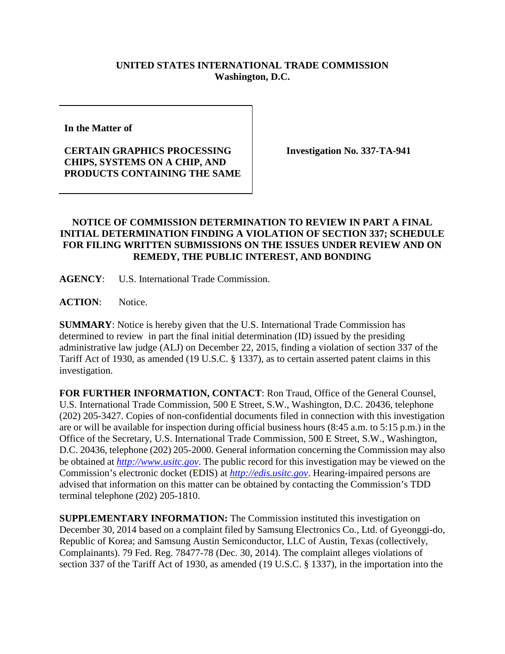## **UNITED STATES INTERNATIONAL TRADE COMMISSION Washington, D.C.**

**In the Matter of**

## **CERTAIN GRAPHICS PROCESSING CHIPS, SYSTEMS ON A CHIP, AND PRODUCTS CONTAINING THE SAME**

**Investigation No. 337-TA-941**

## **NOTICE OF COMMISSION DETERMINATION TO REVIEW IN PART A FINAL INITIAL DETERMINATION FINDING A VIOLATION OF SECTION 337; SCHEDULE FOR FILING WRITTEN SUBMISSIONS ON THE ISSUES UNDER REVIEW AND ON REMEDY, THE PUBLIC INTEREST, AND BONDING**

**AGENCY**: U.S. International Trade Commission.

**ACTION**: Notice.

**SUMMARY**: Notice is hereby given that the U.S. International Trade Commission has determined to review in part the final initial determination (ID) issued by the presiding administrative law judge (ALJ) on December 22, 2015, finding a violation of section 337 of the Tariff Act of 1930, as amended (19 U.S.C. § 1337), as to certain asserted patent claims in this investigation.

**FOR FURTHER INFORMATION, CONTACT**: Ron Traud, Office of the General Counsel, U.S. International Trade Commission, 500 E Street, S.W., Washington, D.C. 20436, telephone (202) 205-3427. Copies of non-confidential documents filed in connection with this investigation are or will be available for inspection during official business hours (8:45 a.m. to 5:15 p.m.) in the Office of the Secretary, U.S. International Trade Commission, 500 E Street, S.W., Washington, D.C. 20436, telephone (202) 205-2000. General information concerning the Commission may also be obtained at *[http://www.usitc.gov](http://www.usitc.gov/)*. The public record for this investigation may be viewed on the Commission's electronic docket (EDIS) at *[http://edis.usitc.gov](http://edis.usitc.gov/)*. Hearing-impaired persons are advised that information on this matter can be obtained by contacting the Commission's TDD terminal telephone (202) 205-1810.

**SUPPLEMENTARY INFORMATION:** The Commission instituted this investigation on December 30, 2014 based on a complaint filed by Samsung Electronics Co., Ltd. of Gyeonggi-do, Republic of Korea; and Samsung Austin Semiconductor, LLC of Austin, Texas (collectively, Complainants). 79 Fed. Reg. 78477-78 (Dec. 30, 2014). The complaint alleges violations of section 337 of the Tariff Act of 1930, as amended (19 U.S.C. § 1337), in the importation into the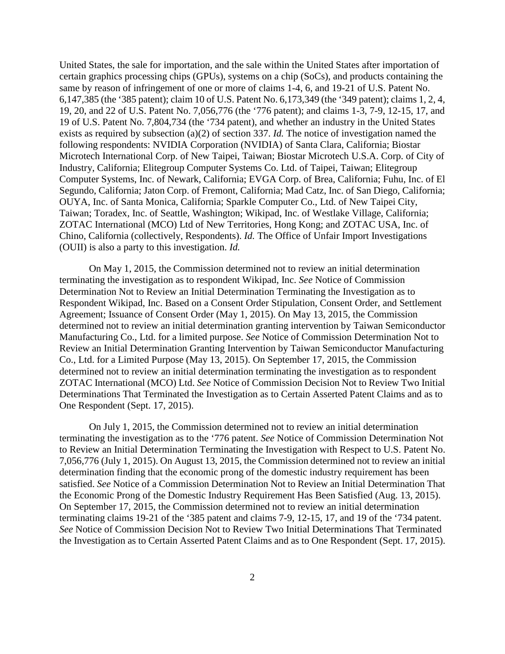United States, the sale for importation, and the sale within the United States after importation of certain graphics processing chips (GPUs), systems on a chip (SoCs), and products containing the same by reason of infringement of one or more of claims 1-4, 6, and 19-21 of U.S. Patent No. 6,147,385 (the '385 patent); claim 10 of U.S. Patent No. 6,173,349 (the '349 patent); claims 1, 2, 4, 19, 20, and 22 of U.S. Patent No. 7,056,776 (the '776 patent); and claims 1-3, 7-9, 12-15, 17, and 19 of U.S. Patent No. 7,804,734 (the '734 patent), and whether an industry in the United States exists as required by subsection (a)(2) of section 337. *Id.* The notice of investigation named the following respondents: NVIDIA Corporation (NVIDIA) of Santa Clara, California; Biostar Microtech International Corp. of New Taipei, Taiwan; Biostar Microtech U.S.A. Corp. of City of Industry, California; Elitegroup Computer Systems Co. Ltd. of Taipei, Taiwan; Elitegroup Computer Systems, Inc. of Newark, California; EVGA Corp. of Brea, California; Fuhu, Inc. of El Segundo, California; Jaton Corp. of Fremont, California; Mad Catz, Inc. of San Diego, California; OUYA, Inc. of Santa Monica, California; Sparkle Computer Co., Ltd. of New Taipei City, Taiwan; Toradex, Inc. of Seattle, Washington; Wikipad, Inc. of Westlake Village, California; ZOTAC International (MCO) Ltd of New Territories, Hong Kong; and ZOTAC USA, Inc. of Chino, California (collectively, Respondents). *Id.* The Office of Unfair Import Investigations (OUII) is also a party to this investigation. *Id.*

On May 1, 2015, the Commission determined not to review an initial determination terminating the investigation as to respondent Wikipad, Inc. *See* Notice of Commission Determination Not to Review an Initial Determination Terminating the Investigation as to Respondent Wikipad, Inc. Based on a Consent Order Stipulation, Consent Order, and Settlement Agreement; Issuance of Consent Order (May 1, 2015). On May 13, 2015, the Commission determined not to review an initial determination granting intervention by Taiwan Semiconductor Manufacturing Co., Ltd. for a limited purpose. *See* Notice of Commission Determination Not to Review an Initial Determination Granting Intervention by Taiwan Semiconductor Manufacturing Co., Ltd. for a Limited Purpose (May 13, 2015). On September 17, 2015, the Commission determined not to review an initial determination terminating the investigation as to respondent ZOTAC International (MCO) Ltd. *See* Notice of Commission Decision Not to Review Two Initial Determinations That Terminated the Investigation as to Certain Asserted Patent Claims and as to One Respondent (Sept. 17, 2015).

On July 1, 2015, the Commission determined not to review an initial determination terminating the investigation as to the '776 patent. *See* Notice of Commission Determination Not to Review an Initial Determination Terminating the Investigation with Respect to U.S. Patent No. 7,056,776 (July 1, 2015). On August 13, 2015, the Commission determined not to review an initial determination finding that the economic prong of the domestic industry requirement has been satisfied. *See* Notice of a Commission Determination Not to Review an Initial Determination That the Economic Prong of the Domestic Industry Requirement Has Been Satisfied (Aug. 13, 2015). On September 17, 2015, the Commission determined not to review an initial determination terminating claims 19-21 of the '385 patent and claims 7-9, 12-15, 17, and 19 of the '734 patent. *See* Notice of Commission Decision Not to Review Two Initial Determinations That Terminated the Investigation as to Certain Asserted Patent Claims and as to One Respondent (Sept. 17, 2015).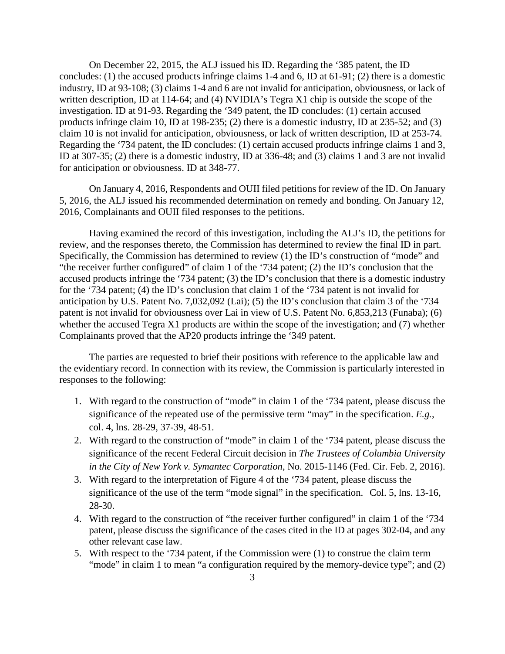On December 22, 2015, the ALJ issued his ID. Regarding the '385 patent, the ID concludes: (1) the accused products infringe claims 1-4 and 6, ID at 61-91; (2) there is a domestic industry, ID at 93-108; (3) claims 1-4 and 6 are not invalid for anticipation, obviousness, or lack of written description, ID at 114-64; and (4) NVIDIA's Tegra X1 chip is outside the scope of the investigation. ID at 91-93. Regarding the '349 patent, the ID concludes: (1) certain accused products infringe claim 10, ID at 198-235; (2) there is a domestic industry, ID at 235-52; and (3) claim 10 is not invalid for anticipation, obviousness, or lack of written description, ID at 253-74. Regarding the '734 patent, the ID concludes: (1) certain accused products infringe claims 1 and 3, ID at 307-35; (2) there is a domestic industry, ID at 336-48; and (3) claims 1 and 3 are not invalid for anticipation or obviousness. ID at 348-77.

On January 4, 2016, Respondents and OUII filed petitions for review of the ID. On January 5, 2016, the ALJ issued his recommended determination on remedy and bonding. On January 12, 2016, Complainants and OUII filed responses to the petitions.

Having examined the record of this investigation, including the ALJ's ID, the petitions for review, and the responses thereto, the Commission has determined to review the final ID in part. Specifically, the Commission has determined to review (1) the ID's construction of "mode" and "the receiver further configured" of claim 1 of the '734 patent; (2) the ID's conclusion that the accused products infringe the '734 patent; (3) the ID's conclusion that there is a domestic industry for the '734 patent; (4) the ID's conclusion that claim 1 of the '734 patent is not invalid for anticipation by U.S. Patent No. 7,032,092 (Lai); (5) the ID's conclusion that claim 3 of the '734 patent is not invalid for obviousness over Lai in view of U.S. Patent No. 6,853,213 (Funaba); (6) whether the accused Tegra X1 products are within the scope of the investigation; and (7) whether Complainants proved that the AP20 products infringe the '349 patent.

The parties are requested to brief their positions with reference to the applicable law and the evidentiary record. In connection with its review, the Commission is particularly interested in responses to the following:

- 1. With regard to the construction of "mode" in claim 1 of the '734 patent, please discuss the significance of the repeated use of the permissive term "may" in the specification. *E.g.*, col. 4, lns. 28-29, 37-39, 48-51.
- 2. With regard to the construction of "mode" in claim 1 of the '734 patent, please discuss the significance of the recent Federal Circuit decision in *The Trustees of Columbia University in the City of New York v. Symantec Corporation*, No. 2015-1146 (Fed. Cir. Feb. 2, 2016).
- 3. With regard to the interpretation of Figure 4 of the '734 patent, please discuss the significance of the use of the term "mode signal" in the specification. Col. 5, lns. 13-16, 28-30.
- 4. With regard to the construction of "the receiver further configured" in claim 1 of the '734 patent, please discuss the significance of the cases cited in the ID at pages 302-04, and any other relevant case law.
- 5. With respect to the '734 patent, if the Commission were (1) to construe the claim term "mode" in claim 1 to mean "a configuration required by the memory-device type"; and (2)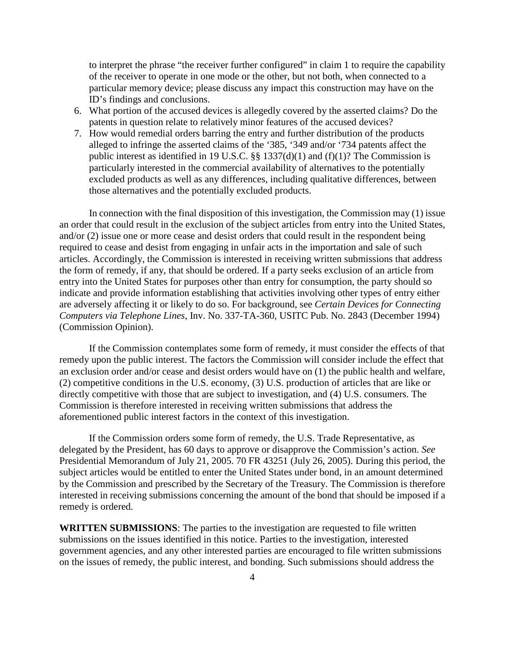to interpret the phrase "the receiver further configured" in claim 1 to require the capability of the receiver to operate in one mode or the other, but not both, when connected to a particular memory device; please discuss any impact this construction may have on the ID's findings and conclusions.

- 6. What portion of the accused devices is allegedly covered by the asserted claims? Do the patents in question relate to relatively minor features of the accused devices?
- 7. How would remedial orders barring the entry and further distribution of the products alleged to infringe the asserted claims of the '385, '349 and/or '734 patents affect the public interest as identified in 19 U.S.C. §§ 1337(d)(1) and (f)(1)? The Commission is particularly interested in the commercial availability of alternatives to the potentially excluded products as well as any differences, including qualitative differences, between those alternatives and the potentially excluded products.

In connection with the final disposition of this investigation, the Commission may (1) issue an order that could result in the exclusion of the subject articles from entry into the United States, and/or (2) issue one or more cease and desist orders that could result in the respondent being required to cease and desist from engaging in unfair acts in the importation and sale of such articles. Accordingly, the Commission is interested in receiving written submissions that address the form of remedy, if any, that should be ordered. If a party seeks exclusion of an article from entry into the United States for purposes other than entry for consumption, the party should so indicate and provide information establishing that activities involving other types of entry either are adversely affecting it or likely to do so. For background, see *Certain Devices for Connecting Computers via Telephone Lines*, Inv. No. 337-TA-360, USITC Pub. No. 2843 (December 1994) (Commission Opinion).

If the Commission contemplates some form of remedy, it must consider the effects of that remedy upon the public interest. The factors the Commission will consider include the effect that an exclusion order and/or cease and desist orders would have on (1) the public health and welfare, (2) competitive conditions in the U.S. economy, (3) U.S. production of articles that are like or directly competitive with those that are subject to investigation, and (4) U.S. consumers. The Commission is therefore interested in receiving written submissions that address the aforementioned public interest factors in the context of this investigation.

If the Commission orders some form of remedy, the U.S. Trade Representative, as delegated by the President, has 60 days to approve or disapprove the Commission's action. *See* Presidential Memorandum of July 21, 2005. 70 FR 43251 (July 26, 2005). During this period, the subject articles would be entitled to enter the United States under bond, in an amount determined by the Commission and prescribed by the Secretary of the Treasury. The Commission is therefore interested in receiving submissions concerning the amount of the bond that should be imposed if a remedy is ordered.

**WRITTEN SUBMISSIONS**: The parties to the investigation are requested to file written submissions on the issues identified in this notice. Parties to the investigation, interested government agencies, and any other interested parties are encouraged to file written submissions on the issues of remedy, the public interest, and bonding. Such submissions should address the